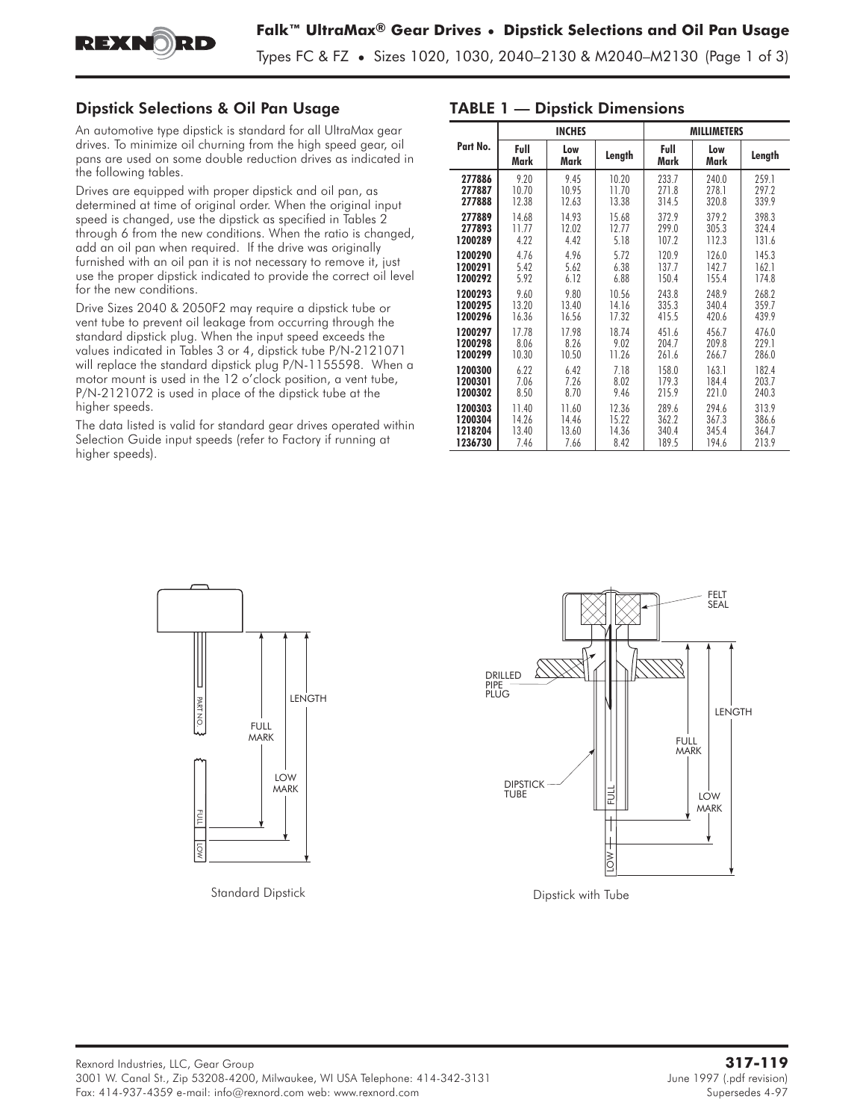

Types FC & FZ **•** Sizes 1020, 1030, 2040–2130 & M2040–M2130 (Page 1 of 3)

## Dipstick Selections & Oil Pan Usage

An automotive type dipstick is standard for all UltraMax gear drives. To minimize oil churning from the high speed gear, oil pans are used on some double reduction drives as indicated in the following tables.

Drives are equipped with proper dipstick and oil pan, as determined at time of original order. When the original input speed is changed, use the dipstick as specified in Tables 2 through 6 from the new conditions. When the ratio is changed, add an oil pan when required. If the drive was originally furnished with an oil pan it is not necessary to remove it, just use the proper dipstick indicated to provide the correct oil level for the new conditions.

Drive Sizes 2040 & 2050F2 may require a dipstick tube or vent tube to prevent oil leakage from occurring through the standard dipstick plug. When the input speed exceeds the values indicated in Tables 3 or 4, dipstick tube P/N-2121071 will replace the standard dipstick plug P/N-1155598. When a motor mount is used in the 12 o'clock position, a vent tube, P/N-2121072 is used in place of the dipstick tube at the higher speeds.

The data listed is valid for standard gear drives operated within Selection Guide input speeds (refer to Factory if running at higher speeds).

|          |              | <b>INCHES</b> |        | <b>MILLIMETERS</b> |             |        |  |  |  |  |
|----------|--------------|---------------|--------|--------------------|-------------|--------|--|--|--|--|
| Part No. | Full<br>Mark | Low<br>Mark   | Length | Full<br>Mark       | Low<br>Mark | Length |  |  |  |  |
| 277886   | 9.20         | 9.45          | 10.20  | 233.7              | 240.0       | 259.1  |  |  |  |  |
| 277887   | 10.70        | 10.95         | 11.70  | 271.8              | 278.1       | 297.2  |  |  |  |  |
| 277888   | 12.38        | 12.63         | 13.38  | 314.5              | 320.8       | 339.9  |  |  |  |  |
| 277889   | 14.68        | 14.93         | 15.68  | 372.9              | 379.2       | 398.3  |  |  |  |  |
| 277893   | 11.77        | 12.02         | 12.77  | 299.0              | 305.3       | 324.4  |  |  |  |  |
| 1200289  | 4.22         | 4.42          | 5.18   | 107.2              | 112.3       | 131.6  |  |  |  |  |
| 1200290  | 4.76         | 4.96          | 5.72   | 120.9              | 126.0       | 145.3  |  |  |  |  |
| 1200291  | 5.42         | 5.62          | 6.38   | 137.7              | 142.7       | 162.1  |  |  |  |  |
| 1200292  | 5.92         | 6.12          | 6.88   | 150.4              | 155.4       | 174.8  |  |  |  |  |
| 1200293  | 9.60         | 9.80          | 10.56  | 243.8              | 248.9       | 268.2  |  |  |  |  |
| 1200295  | 13.20        | 13.40         | 14.16  | 335.3              | 340.4       | 359.7  |  |  |  |  |
| 1200296  | 16.36        | 16.56         | 17.32  | 415.5              | 420.6       | 439.9  |  |  |  |  |
| 1200297  | 17.78        | 17.98         | 18.74  | 451.6              | 456.7       | 476.0  |  |  |  |  |
| 1200298  | 8.06         | 8.26          | 9.02   | 204.7              | 209.8       | 229.1  |  |  |  |  |
| 1200299  | 10.30        | 10.50         | 11.26  | 261.6              | 266.7       | 286.0  |  |  |  |  |
| 1200300  | 6.22         | 6.42          | 7.18   | 158.0              | 163.1       | 182.4  |  |  |  |  |
| 1200301  | 7.06         | 7.26          | 8.02   | 179.3              | 184.4       | 203.7  |  |  |  |  |
| 1200302  | 8.50         | 8.70          | 9.46   | 215.9              | 221.0       | 240.3  |  |  |  |  |
| 1200303  | 11.40        | 11.60         | 12.36  | 289.6              | 294.6       | 313.9  |  |  |  |  |
| 1200304  | 14.26        | 14.46         | 15.22  | 362.2              | 367.3       | 386.6  |  |  |  |  |
| 1218204  | 13.40        | 13.60         | 14.36  | 340.4              | 345.4       | 364.7  |  |  |  |  |
| 1236730  | 7.46         | 7.66          | 8.42   | 189.5              | 194.6       | 213.9  |  |  |  |  |



Standard Dipstick **Dipstick** and Dipstick with Tube



TABLE 1 — Dipstick Dimensions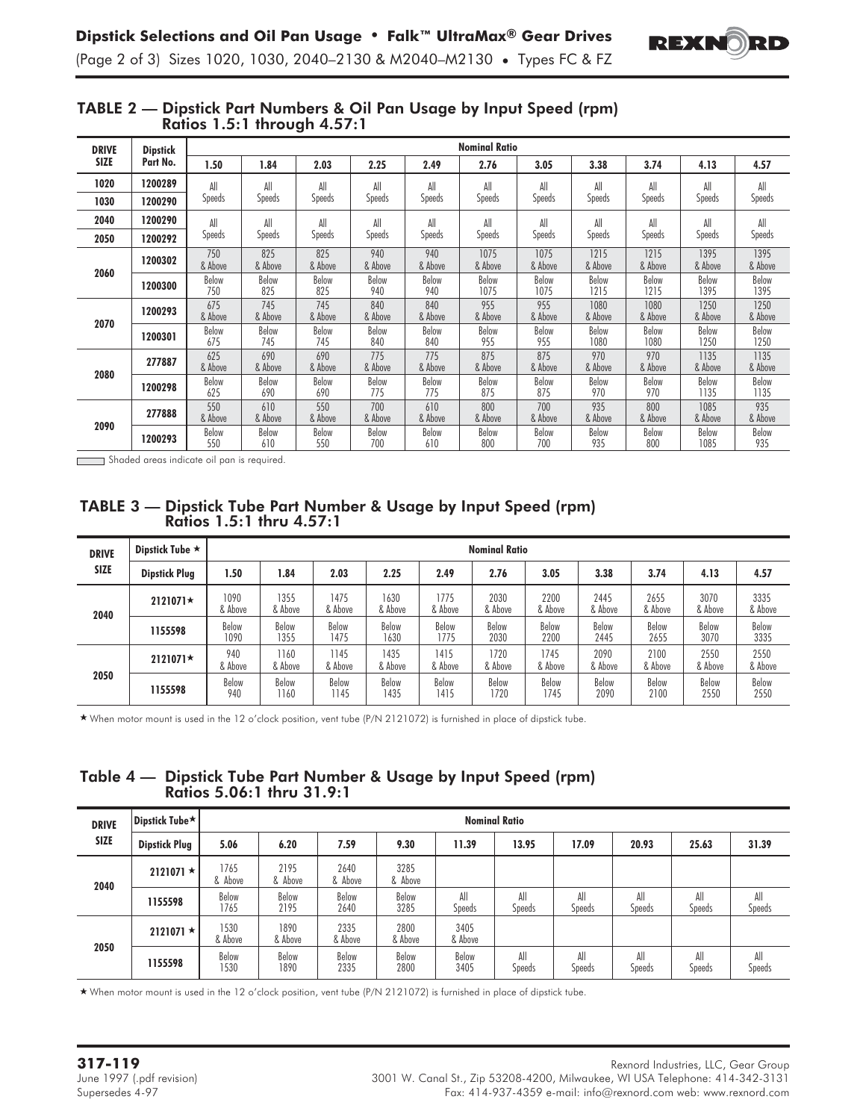

| <b>DRIVE</b> | <b>Dipstick</b> |                | <b>Nominal Ratio</b> |                |                |                |                 |                 |                 |                 |                 |                 |  |  |
|--------------|-----------------|----------------|----------------------|----------------|----------------|----------------|-----------------|-----------------|-----------------|-----------------|-----------------|-----------------|--|--|
| <b>SIZE</b>  | Part No.        | 1.50           | 1.84                 | 2.03           | 2.25           | 2.49           | 2.76            | 3.05            | 3.38            | 3.74            | 4.13            | 4.57            |  |  |
| 1020         | 1200289         | All            | All                  | All            | All            | All            | All             | All             | All             | All             | All             | All             |  |  |
| 1030         | 1200290         | Speeds         | Speeds               | Speeds         | Speeds         | Speeds         | Speeds          | Speeds          | Speeds          | Speeds          | Speeds          | Speeds          |  |  |
| 2040         | 1200290         | All            | All                  | All            | All            | All            | All             | All             | All             | All             | All             | All             |  |  |
| 2050         | 1200292         | Speeds         | <b>Speeds</b>        | <b>Speeds</b>  | <b>Speeds</b>  | Speeds         | <b>Speeds</b>   | <b>Speeds</b>   | Speeds          | Speeds          | <b>Speeds</b>   | <b>Speeds</b>   |  |  |
|              | 1200302         | 750<br>& Above | 825<br>& Above       | 825<br>& Above | 940<br>& Above | 940<br>& Above | 1075<br>& Above | 1075<br>& Above | 1215<br>& Above | 1215<br>& Above | 1395<br>& Above | 1395<br>& Above |  |  |
| 2060         | 1200300         | Below<br>750   | Below<br>825         | Below<br>825   | Below<br>940   | Below<br>940   | Below<br>1075   | Below<br>1075   | Below<br>1215   | Below<br>1215   | Below<br>1395   | Below<br>1395   |  |  |
|              | 1200293         | 675<br>& Above | 745<br>& Above       | 745<br>& Above | 840<br>& Above | 840<br>& Above | 955<br>& Above  | 955<br>& Above  | 1080<br>& Above | 1080<br>& Above | 1250<br>& Above | 1250<br>& Above |  |  |
| 2070         | 1200301         | Below<br>675   | Below<br>745         | Below<br>745   | Below<br>840   | Below<br>840   | Below<br>955    | Below<br>955    | Below<br>1080   | Below<br>1080   | Below<br>1250   | Below<br>1250   |  |  |
|              | 277887          | 625<br>& Above | 690<br>& Above       | 690<br>& Above | 775<br>& Above | 775<br>& Above | 875<br>& Above  | 875<br>& Above  | 970<br>& Above  | 970<br>& Above  | 1135<br>& Above | 1135<br>& Above |  |  |
| 2080         | 1200298         | Below<br>625   | Below<br>690         | Below<br>690   | Below<br>775   | Below<br>775   | Below<br>875    | Below<br>875    | Below<br>970    | Below<br>970    | Below<br>1135   | Below<br>1135   |  |  |
|              | 277888          | 550<br>& Above | 610<br>& Above       | 550<br>& Above | 700<br>& Above | 610<br>& Above | 800<br>& Above  | 700<br>& Above  | 935<br>& Above  | 800<br>& Above  | 1085<br>& Above | 935<br>& Above  |  |  |
| 2090         | 1200293         | Below<br>550   | Below<br>610         | Below<br>550   | Below<br>700   | Below<br>610   | Below<br>800    | Below<br>700    | Below<br>935    | Below<br>800    | Below<br>1085   | Below<br>935    |  |  |

## TABLE 2 — Dipstick Part Numbers & Oil Pan Usage by Input Speed (rpm) Ratios 1.5:1 through 4.57:1

*-* Shaded areas indicate oil pan is required.

# TABLE 3 — Dipstick Tube Part Number & Usage by Input Speed (rpm) Ratios 1.5:1 thru 4.57:1

| <b>DRIVE</b> | Dipstick Tube $\star$ |                 | <b>Nominal Ratio</b> |                 |                 |                 |                 |                 |                 |                 |                 |                 |
|--------------|-----------------------|-----------------|----------------------|-----------------|-----------------|-----------------|-----------------|-----------------|-----------------|-----------------|-----------------|-----------------|
| <b>SIZE</b>  | <b>Dipstick Plug</b>  | 1.50            | 1.84                 | 2.03            | 2.25            | 2.49            | 2.76            | 3.05            | 3.38            | 3.74            | 4.13            | 4.57            |
| 2040         | $2121071*$            | 1090<br>& Above | 1355<br>& Above      | 1475<br>& Above | 1630<br>& Above | 1775<br>& Above | 2030<br>& Above | 2200<br>& Above | 2445<br>& Above | 2655<br>& Above | 3070<br>& Above | 3335<br>& Above |
|              | 1155598               | Below<br>1090   | Below<br>1355        | Below<br>1475   | Below<br>1630   | Below<br>1775   | Below<br>2030   | Below<br>2200   | Below<br>2445   | Below<br>2655   | Below<br>3070   | Below<br>3335   |
|              | $2121071 \star$       | 940<br>& Above  | 1160<br>& Above      | 1145<br>& Above | 1435<br>& Above | 1415<br>& Above | 1720<br>& Above | 1745<br>& Above | 2090<br>& Above | 2100<br>& Above | 2550<br>& Above | 2550<br>& Above |
| 2050         | 1155598               | Below<br>940    | Below<br>1160        | Below<br>1145   | Below<br>435    | Below<br>1415   | Below<br>1720   | Below<br>1745   | Below<br>2090   | Below<br>2100   | Below<br>2550   | Below<br>2550   |

- When motor mount is used in the 12 o'clock position, vent tube (P/N 2121072) is furnished in place of dipstick tube.

# Table 4 — Dipstick Tube Part Number & Usage by Input Speed (rpm) Ratios 5.06:1 thru 31.9:1

| <b>DRIVE</b> | <b>Dipstick Tube*</b> | <b>Nominal Ratio</b> |                 |                 |                 |                 |                      |               |               |                      |               |  |
|--------------|-----------------------|----------------------|-----------------|-----------------|-----------------|-----------------|----------------------|---------------|---------------|----------------------|---------------|--|
| <b>SIZE</b>  | <b>Dipstick Plug</b>  | 5.06                 | 6.20            | 7.59            | 9.30            | 11.39           | 13.95                | 17.09         | 20.93         | 25.63                | 31.39         |  |
| 2040         | $2121071*$            | 1765<br>& Above      | 2195<br>& Above | 2640<br>& Above | 3285<br>& Above |                 |                      |               |               |                      |               |  |
|              | 1155598               | Below<br>1765        | Below<br>2195   | Below<br>2640   | Below<br>3285   | All<br>Speeds   | All<br><b>Speeds</b> | All<br>Speeds | All<br>Speeds | All<br><b>Speeds</b> | All<br>Speeds |  |
|              | $2121071*$            | 1530<br>& Above      | 1890<br>& Above | 2335<br>& Above | 2800<br>& Above | 3405<br>& Above |                      |               |               |                      |               |  |
| 2050         | 1155598               | Below<br>1530        | Below<br>1890   | Below<br>2335   | Below<br>2800   | Below<br>3405   | All<br>Speeds        | All<br>Speeds | All<br>Speeds | All<br><b>Speeds</b> | All<br>Speeds |  |

- When motor mount is used in the 12 o'clock position, vent tube (P/N 2121072) is furnished in place of dipstick tube.